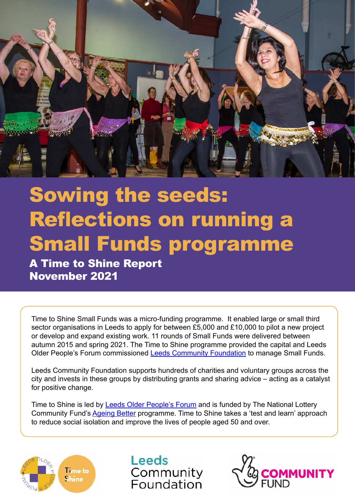

# Sowing the seeds: Reflections on running a Small Funds programme

A Time to Shine Report November 2021

Time to Shine Small Funds was a micro-funding programme. It enabled large or small third sector organisations in Leeds to apply for between £5,000 and £10,000 to pilot a new project or develop and expand existing work. 11 rounds of Small Funds were delivered between autumn 2015 and spring 2021. The Time to Shine programme provided the capital and Leeds Older People's Forum commissioned [Leeds Community Foundation](https://www.leedscf.org.uk/) to manage Small Funds.

Leeds Community Foundation supports hundreds of charities and voluntary groups across the city and invests in these groups by distributing grants and sharing advice – acting as a catalyst for positive change.

Time to Shine is led by [Leeds Older People's Forum](https://www.opforum.org.uk/about-us/) and is funded by The National Lottery Community Fund's [Ageing Better](https://www.tnlcommunityfund.org.uk/funding/strategic-investments/ageing-better) programme. Time to Shine takes a 'test and learn' approach to reduce social isolation and improve the lives of people aged 50 and over.



**Leeds** Community Foundation

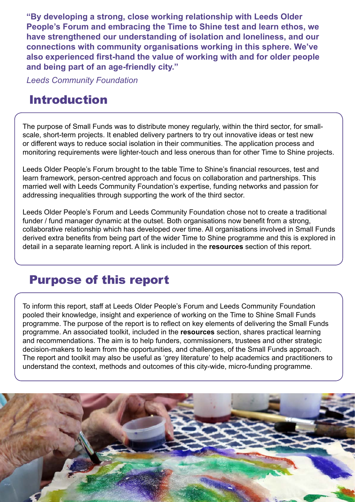**"By developing a strong, close working relationship with Leeds Older People's Forum and embracing the Time to Shine test and learn ethos, we have strengthened our understanding of isolation and loneliness, and our connections with community organisations working in this sphere. We've also experienced first-hand the value of working with and for older people and being part of an age-friendly city."** 

*Leeds Community Foundation*

# Introduction

The purpose of Small Funds was to distribute money regularly, within the third sector, for smallscale, short-term projects. It enabled delivery partners to try out innovative ideas or test new or different ways to reduce social isolation in their communities. The application process and monitoring requirements were lighter-touch and less onerous than for other Time to Shine projects.

Leeds Older People's Forum brought to the table Time to Shine's financial resources, test and learn framework, person-centred approach and focus on collaboration and partnerships. This married well with Leeds Community Foundation's expertise, funding networks and passion for addressing inequalities through supporting the work of the third sector.

Leeds Older People's Forum and Leeds Community Foundation chose not to create a traditional funder / fund manager dynamic at the outset. Both organisations now benefit from a strong, collaborative relationship which has developed over time. All organisations involved in Small Funds derived extra benefits from being part of the wider Time to Shine programme and this is explored in detail in a separate learning report. A link is included in the **resources** section of this report.

### Purpose of this report

To inform this report, staff at Leeds Older People's Forum and Leeds Community Foundation pooled their knowledge, insight and experience of working on the Time to Shine Small Funds programme. The purpose of the report is to reflect on key elements of delivering the Small Funds programme. An associated toolkit, included in the **resources** section, shares practical learning and recommendations. The aim is to help funders, commissioners, trustees and other strategic decision-makers to learn from the opportunities, and challenges, of the Small Funds approach. The report and toolkit may also be useful as 'grey literature' to help academics and practitioners to understand the context, methods and outcomes of this city-wide, micro-funding programme.

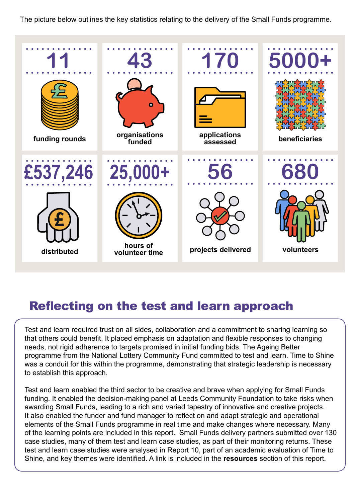The picture below outlines the key statistics relating to the delivery of the Small Funds programme.



### Reflecting on the test and learn approach

Test and learn required trust on all sides, collaboration and a commitment to sharing learning so that others could benefit. It placed emphasis on adaptation and flexible responses to changing needs, not rigid adherence to targets promised in initial funding bids. The Ageing Better programme from the National Lottery Community Fund committed to test and learn. Time to Shine was a conduit for this within the programme, demonstrating that strategic leadership is necessary to establish this approach.

Test and learn enabled the third sector to be creative and brave when applying for Small Funds funding. It enabled the decision-making panel at Leeds Community Foundation to take risks when awarding Small Funds, leading to a rich and varied tapestry of innovative and creative projects. It also enabled the funder and fund manager to reflect on and adapt strategic and operational elements of the Small Funds programme in real time and make changes where necessary. Many of the learning points are included in this report. Small Funds delivery partners submitted over 130 case studies, many of them test and learn case studies, as part of their monitoring returns. These test and learn case studies were analysed in Report 10, part of an academic evaluation of Time to Shine, and key themes were identified. A link is included in the **resources** section of this report.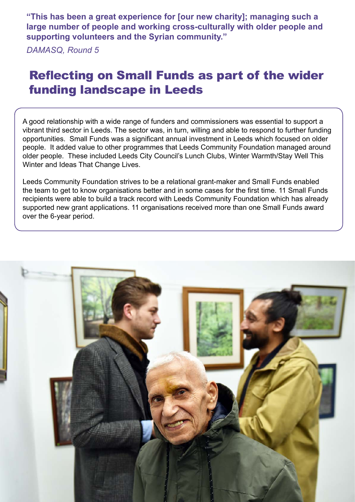**"This has been a great experience for [our new charity]; managing such a large number of people and working cross-culturally with older people and supporting volunteers and the Syrian community."** 

*DAMASQ, Round 5*

# Reflecting on Small Funds as part of the wider funding landscape in Leeds

A good relationship with a wide range of funders and commissioners was essential to support a vibrant third sector in Leeds. The sector was, in turn, willing and able to respond to further funding opportunities. Small Funds was a significant annual investment in Leeds which focused on older people. It added value to other programmes that Leeds Community Foundation managed around older people. These included Leeds City Council's Lunch Clubs, Winter Warmth/Stay Well This Winter and Ideas That Change Lives.

Leeds Community Foundation strives to be a relational grant-maker and Small Funds enabled the team to get to know organisations better and in some cases for the first time. 11 Small Funds recipients were able to build a track record with Leeds Community Foundation which has already supported new grant applications. 11 organisations received more than one Small Funds award over the 6-year period.

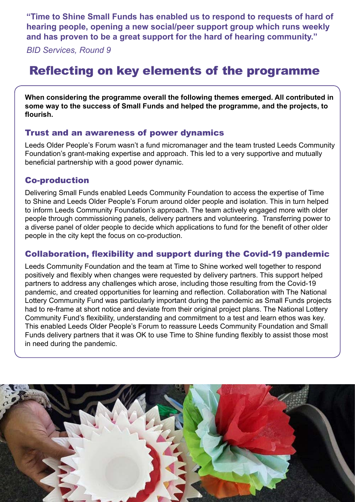**"Time to Shine Small Funds has enabled us to respond to requests of hard of hearing people, opening a new social/peer support group which runs weekly and has proven to be a great support for the hard of hearing community."**

*BID Services, Round 9*

# Reflecting on key elements of the programme

**When considering the programme overall the following themes emerged. All contributed in some way to the success of Small Funds and helped the programme, and the projects, to flourish.**

#### Trust and an awareness of power dynamics

Leeds Older People's Forum wasn't a fund micromanager and the team trusted Leeds Community Foundation's grant-making expertise and approach. This led to a very supportive and mutually beneficial partnership with a good power dynamic.

#### Co-production

Delivering Small Funds enabled Leeds Community Foundation to access the expertise of Time to Shine and Leeds Older People's Forum around older people and isolation. This in turn helped to inform Leeds Community Foundation's approach. The team actively engaged more with older people through commissioning panels, delivery partners and volunteering. Transferring power to a diverse panel of older people to decide which applications to fund for the benefit of other older people in the city kept the focus on co-production.

#### Collaboration, flexibility and support during the Covid-19 pandemic

Leeds Community Foundation and the team at Time to Shine worked well together to respond positively and flexibly when changes were requested by delivery partners. This support helped partners to address any challenges which arose, including those resulting from the Covid-19 pandemic, and created opportunities for learning and reflection. Collaboration with The National Lottery Community Fund was particularly important during the pandemic as Small Funds projects had to re-frame at short notice and deviate from their original project plans. The National Lottery Community Fund's flexibility, understanding and commitment to a test and learn ethos was key. This enabled Leeds Older People's Forum to reassure Leeds Community Foundation and Small Funds delivery partners that it was OK to use Time to Shine funding flexibly to assist those most in need during the pandemic.

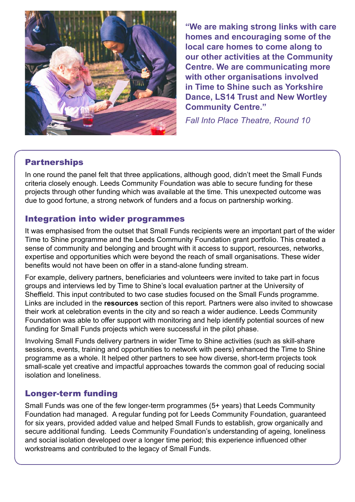

**"We are making strong links with care homes and encouraging some of the local care homes to come along to our other activities at the Community Centre. We are communicating more with other organisations involved in Time to Shine such as Yorkshire Dance, LS14 Trust and New Wortley Community Centre."** 

*Fall Into Place Theatre, Round 10*

#### **Partnerships**

In one round the panel felt that three applications, although good, didn't meet the Small Funds criteria closely enough. Leeds Community Foundation was able to secure funding for these projects through other funding which was available at the time. This unexpected outcome was due to good fortune, a strong network of funders and a focus on partnership working.

#### Integration into wider programmes

It was emphasised from the outset that Small Funds recipients were an important part of the wider Time to Shine programme and the Leeds Community Foundation grant portfolio. This created a sense of community and belonging and brought with it access to support, resources, networks, expertise and opportunities which were beyond the reach of small organisations. These wider benefits would not have been on offer in a stand-alone funding stream.

For example, delivery partners, beneficiaries and volunteers were invited to take part in focus groups and interviews led by Time to Shine's local evaluation partner at the University of Sheffield. This input contributed to two case studies focused on the Small Funds programme. Links are included in the **resources** section of this report. Partners were also invited to showcase their work at celebration events in the city and so reach a wider audience. Leeds Community Foundation was able to offer support with monitoring and help identify potential sources of new funding for Small Funds projects which were successful in the pilot phase.

Involving Small Funds delivery partners in wider Time to Shine activities (such as skill-share sessions, events, training and opportunities to network with peers) enhanced the Time to Shine programme as a whole. It helped other partners to see how diverse, short-term projects took small-scale yet creative and impactful approaches towards the common goal of reducing social isolation and loneliness.

#### Longer-term funding

Small Funds was one of the few longer-term programmes (5+ years) that Leeds Community Foundation had managed. A regular funding pot for Leeds Community Foundation, guaranteed for six years, provided added value and helped Small Funds to establish, grow organically and secure additional funding. Leeds Community Foundation's understanding of ageing, loneliness and social isolation developed over a longer time period; this experience influenced other workstreams and contributed to the legacy of Small Funds.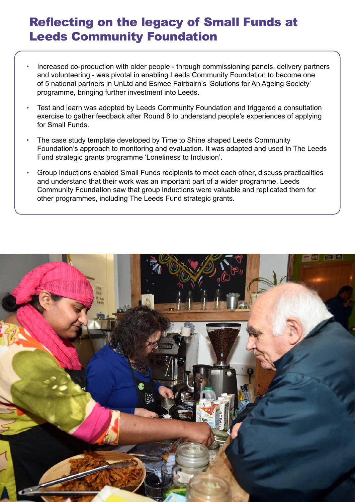# Reflecting on the legacy of Small Funds at Leeds Community Foundation

- Increased co-production with older people through commissioning panels, delivery partners and volunteering - was pivotal in enabling Leeds Community Foundation to become one of 5 national partners in UnLtd and Esmee Fairbairn's 'Solutions for An Ageing Society' programme, bringing further investment into Leeds.
- Test and learn was adopted by Leeds Community Foundation and triggered a consultation exercise to gather feedback after Round 8 to understand people's experiences of applying for Small Funds.
- The case study template developed by Time to Shine shaped Leeds Community Foundation's approach to monitoring and evaluation. It was adapted and used in The Leeds Fund strategic grants programme 'Loneliness to Inclusion'.
- Group inductions enabled Small Funds recipients to meet each other, discuss practicalities and understand that their work was an important part of a wider programme. Leeds Community Foundation saw that group inductions were valuable and replicated them for other programmes, including The Leeds Fund strategic grants.